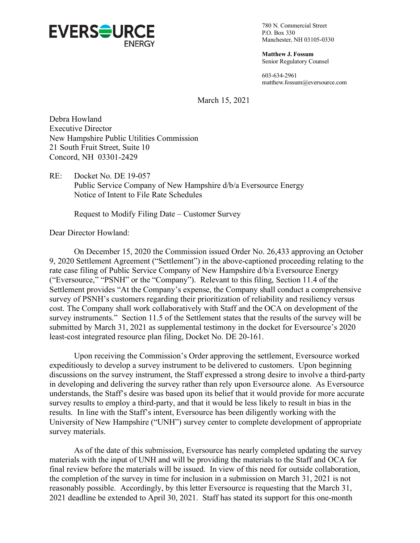

780 N. Commercial Street P.O. Box 330 Manchester, NH 03105-0330

**Matthew J. Fossum** Senior Regulatory Counsel

603-634-2961 matthew.fossum@eversource.com

March 15, 2021

Debra Howland Executive Director New Hampshire Public Utilities Commission 21 South Fruit Street, Suite 10 Concord, NH 03301-2429

RE: Docket No. DE 19-057 Public Service Company of New Hampshire d/b/a Eversource Energy Notice of Intent to File Rate Schedules

Request to Modify Filing Date – Customer Survey

Dear Director Howland:

On December 15, 2020 the Commission issued Order No. 26,433 approving an October 9, 2020 Settlement Agreement ("Settlement") in the above-captioned proceeding relating to the rate case filing of Public Service Company of New Hampshire d/b/a Eversource Energy ("Eversource," "PSNH" or the "Company"). Relevant to this filing, Section 11.4 of the Settlement provides "At the Company's expense, the Company shall conduct a comprehensive survey of PSNH's customers regarding their prioritization of reliability and resiliency versus cost. The Company shall work collaboratively with Staff and the OCA on development of the survey instruments." Section 11.5 of the Settlement states that the results of the survey will be submitted by March 31, 2021 as supplemental testimony in the docket for Eversource's 2020 least-cost integrated resource plan filing, Docket No. DE 20-161.

Upon receiving the Commission's Order approving the settlement, Eversource worked expeditiously to develop a survey instrument to be delivered to customers. Upon beginning discussions on the survey instrument, the Staff expressed a strong desire to involve a third-party in developing and delivering the survey rather than rely upon Eversource alone. As Eversource understands, the Staff's desire was based upon its belief that it would provide for more accurate survey results to employ a third-party, and that it would be less likely to result in bias in the results. In line with the Staff's intent, Eversource has been diligently working with the University of New Hampshire ("UNH") survey center to complete development of appropriate survey materials.

As of the date of this submission, Eversource has nearly completed updating the survey materials with the input of UNH and will be providing the materials to the Staff and OCA for final review before the materials will be issued. In view of this need for outside collaboration, the completion of the survey in time for inclusion in a submission on March 31, 2021 is not reasonably possible. Accordingly, by this letter Eversource is requesting that the March 31, 2021 deadline be extended to April 30, 2021. Staff has stated its support for this one-month